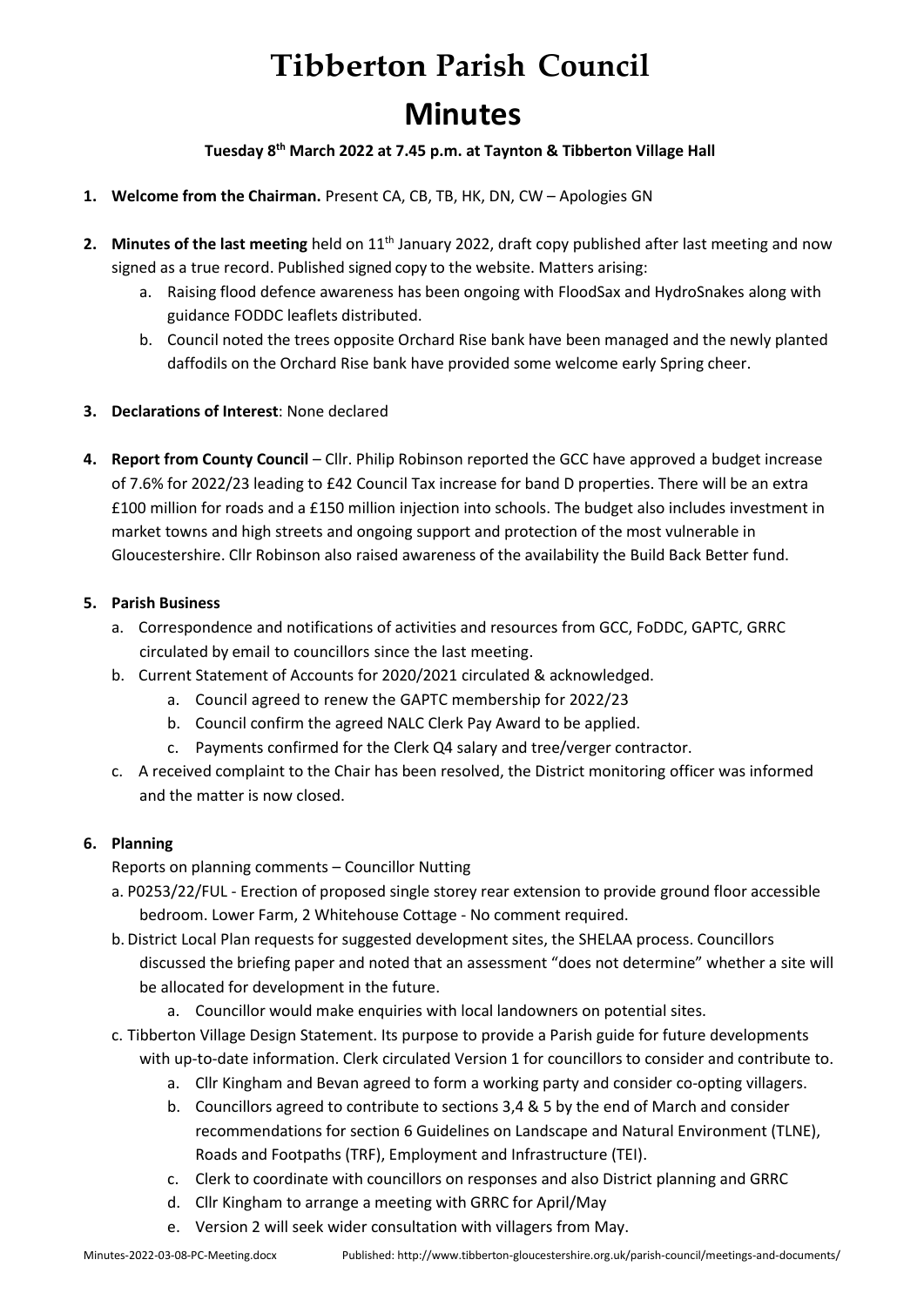# **Tibberton Parish Council Minutes**

**Tuesday 8 th March 2022 at 7.45 p.m. at Taynton & Tibberton Village Hall**

- **1. Welcome from the Chairman.** Present CA, CB, TB, HK, DN, CW Apologies GN
- **2. Minutes of the last meeting** held on 11<sup>th</sup> January 2022, draft copy published after last meeting and now signed as a true record. Published signed copy to the website. Matters arising:
	- a. Raising flood defence awareness has been ongoing with FloodSax and HydroSnakes along with guidance FODDC leaflets distributed.
	- b. Council noted the trees opposite Orchard Rise bank have been managed and the newly planted daffodils on the Orchard Rise bank have provided some welcome early Spring cheer.
- **3. Declarations of Interest**: None declared
- **4. Report from County Council**  Cllr. Philip Robinson reported the GCC have approved a budget increase of 7.6% for 2022/23 leading to £42 Council Tax increase for band D properties. There will be an extra £100 million for roads and a £150 million injection into schools. The budget also includes investment in market towns and high streets and ongoing support and protection of the most vulnerable in Gloucestershire. Cllr Robinson also raised awareness of the availability the Build Back Better fund.

# **5. Parish Business**

- a. Correspondence and notifications of activities and resources from GCC, FoDDC, GAPTC, GRRC circulated by email to councillors since the last meeting.
- b. Current Statement of Accounts for 2020/2021 circulated & acknowledged.
	- a. Council agreed to renew the GAPTC membership for 2022/23
	- b. Council confirm the agreed NALC Clerk Pay Award to be applied.
	- c. Payments confirmed for the Clerk Q4 salary and tree/verger contractor.
- c. A received complaint to the Chair has been resolved, the District monitoring officer was informed and the matter is now closed.

# **6. Planning**

- Reports on planning comments Councillor Nutting
- a. P0253/22/FUL Erection of proposed single storey rear extension to provide ground floor accessible bedroom. Lower Farm, 2 Whitehouse Cottage - No comment required.
- b. District Local Plan requests for suggested development sites, the SHELAA process. Councillors discussed the briefing paper and noted that an assessment "does not determine" whether a site will be allocated for development in the future.
	- a. Councillor would make enquiries with local landowners on potential sites.
- c. Tibberton Village Design Statement. Its purpose to provide a Parish guide for future developments
	- with up-to-date information. Clerk circulated Version 1 for councillors to consider and contribute to.
		- a. Cllr Kingham and Bevan agreed to form a working party and consider co-opting villagers.
		- b. Councillors agreed to contribute to sections 3,4 & 5 by the end of March and consider recommendations for section 6 Guidelines on Landscape and Natural Environment (TLNE), Roads and Footpaths (TRF), Employment and Infrastructure (TEI).
		- c. Clerk to coordinate with councillors on responses and also District planning and GRRC
		- d. Cllr Kingham to arrange a meeting with GRRC for April/May
		- e. Version 2 will seek wider consultation with villagers from May.